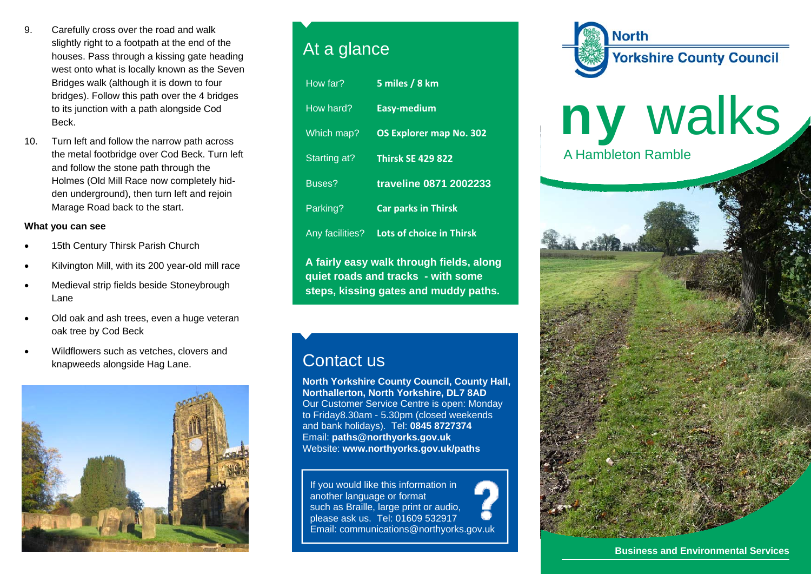- 9. Carefully cross over the road and walk slightly right to a footpath at the end of the houses. Pass through a kissing gate heading west onto what is locally known as the Seven Bridges walk (although it is down to four bridges). Follow this path over the 4 bridges to its junction with a path alongside Cod Beck.
- 10. Turn left and follow the narrow path across the metal footbridge over Cod Beck. Turn left and follow the stone path through the Holmes (Old Mill Race now completely hidden underground), then turn left and rejoin Marage Road back to the start.

## **What you can see**

- 15th Century Thirsk Parish Church
- Kilvington Mill, with its 200 year-old mill race
- Medieval strip fields beside Stoneybrough Lane
- Old oak and ash trees, even a huge veteran oak tree by Cod Beck
- Wildflowers such as vetches, clovers and knapweeds alongside Hag Lane.



## At a glance

| How far?                                 | 5 miles / 8 km                  |
|------------------------------------------|---------------------------------|
| How hard?                                | <b>Easy-medium</b>              |
| Which map?                               | <b>OS Explorer map No. 302</b>  |
| Starting at?                             | <b>Thirsk SE 429 822</b>        |
| Buses?                                   | traveline 0871 2002233          |
| Parking?                                 | <b>Car parks in Thirsk</b>      |
| <b>Any facilities?</b>                   | <b>Lots of choice in Thirsk</b> |
| A fairly easy walk through fields, along |                                 |

**quiet roads and tracks - with some steps, kissing gates and muddy paths.** 

## Contact us

**North Yorkshire County Council, County Hall, Northallerton, North Yorkshire, DL7 8AD** Our Customer Service Centre is open: Monday to Friday8.30am - 5.30pm (closed weekends and bank holidays). Tel: **0845 8727374** Email: **paths@northyorks.gov.uk**  Website: **www.northyorks.gov.uk/paths**

If you would like this information in another language or format such as Braille, large print or audio, please ask us. Tel: 01609 532917 Email: communications@northyorks.gov.uk





**Business and Environmental Services**